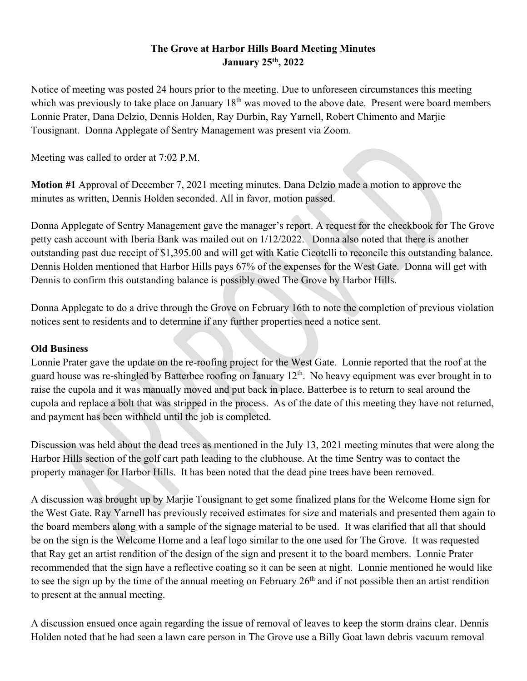## **The Grove at Harbor Hills Board Meeting Minutes January 25th, 2022**

Notice of meeting was posted 24 hours prior to the meeting. Due to unforeseen circumstances this meeting which was previously to take place on January  $18<sup>th</sup>$  was moved to the above date. Present were board members Lonnie Prater, Dana Delzio, Dennis Holden, Ray Durbin, Ray Yarnell, Robert Chimento and Marjie Tousignant. Donna Applegate of Sentry Management was present via Zoom.

Meeting was called to order at 7:02 P.M.

**Motion #1** Approval of December 7, 2021 meeting minutes. Dana Delzio made a motion to approve the minutes as written, Dennis Holden seconded. All in favor, motion passed.

Donna Applegate of Sentry Management gave the manager's report. A request for the checkbook for The Grove petty cash account with Iberia Bank was mailed out on 1/12/2022. Donna also noted that there is another outstanding past due receipt of \$1,395.00 and will get with Katie Cicotelli to reconcile this outstanding balance. Dennis Holden mentioned that Harbor Hills pays 67% of the expenses for the West Gate. Donna will get with Dennis to confirm this outstanding balance is possibly owed The Grove by Harbor Hills.

Donna Applegate to do a drive through the Grove on February 16th to note the completion of previous violation notices sent to residents and to determine if any further properties need a notice sent.

## **Old Business**

Lonnie Prater gave the update on the re-roofing project for the West Gate. Lonnie reported that the roof at the guard house was re-shingled by Batterbee roofing on January 12<sup>th</sup>. No heavy equipment was ever brought in to raise the cupola and it was manually moved and put back in place. Batterbee is to return to seal around the cupola and replace a bolt that was stripped in the process. As of the date of this meeting they have not returned, and payment has been withheld until the job is completed.

Discussion was held about the dead trees as mentioned in the July 13, 2021 meeting minutes that were along the Harbor Hills section of the golf cart path leading to the clubhouse. At the time Sentry was to contact the property manager for Harbor Hills. It has been noted that the dead pine trees have been removed.

A discussion was brought up by Marjie Tousignant to get some finalized plans for the Welcome Home sign for the West Gate. Ray Yarnell has previously received estimates for size and materials and presented them again to the board members along with a sample of the signage material to be used. It was clarified that all that should be on the sign is the Welcome Home and a leaf logo similar to the one used for The Grove. It was requested that Ray get an artist rendition of the design of the sign and present it to the board members. Lonnie Prater recommended that the sign have a reflective coating so it can be seen at night. Lonnie mentioned he would like to see the sign up by the time of the annual meeting on February 26<sup>th</sup> and if not possible then an artist rendition to present at the annual meeting.

A discussion ensued once again regarding the issue of removal of leaves to keep the storm drains clear. Dennis Holden noted that he had seen a lawn care person in The Grove use a Billy Goat lawn debris vacuum removal